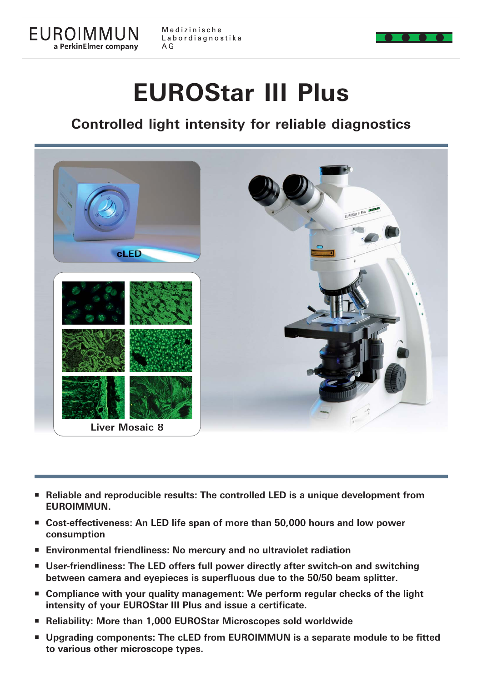

EUROIMMUN

a PerkinElmer company

# **EUROStar III Plus**

## **Controlled light intensity for reliable diagnostics**



- Reliable and reproducible results: The controlled LED is a unique development from **EUROIMMUN.**
- **Cost-effectiveness: An LED life span of more than 50,000 hours and low power consumption**
- **Environmental friendliness: No mercury and no ultraviolet radiation**
- **User-friendliness: The LED offers full power directly after switch-on and switching between camera and eyepieces is superfluous due to the 50/50 beam splitter.**
- Compliance with your quality management: We perform regular checks of the light **intensity of your EUROStar III Plus and issue a certificate.**
- **Reliability: More than 1,000 EUROStar Microscopes sold worldwide**
- **Upgrading components: The cLED from EUROIMMUN is a separate module to be fitted to various other microscope types to various other microscope types.**